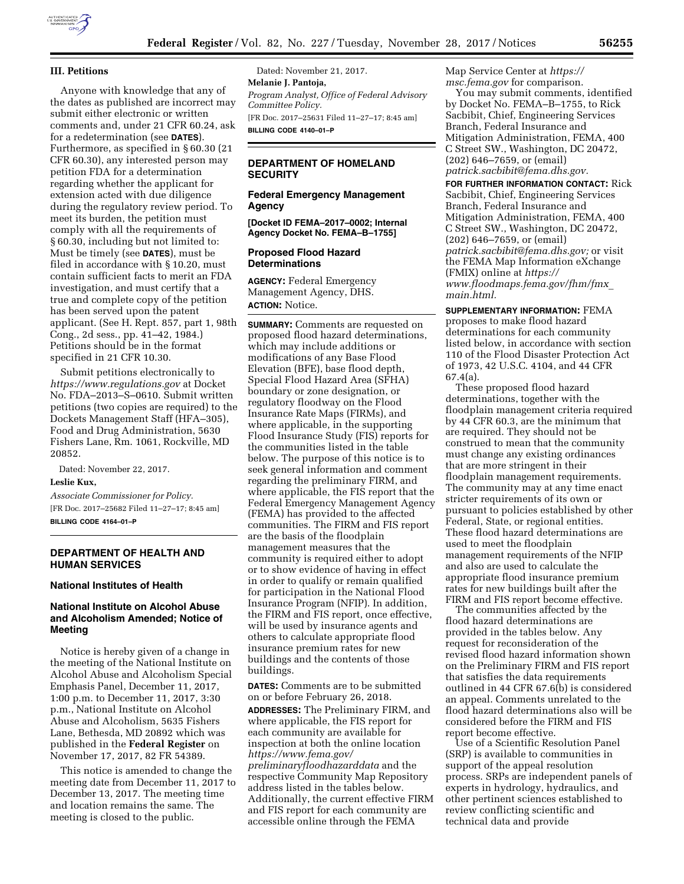

# **III. Petitions**

Anyone with knowledge that any of the dates as published are incorrect may submit either electronic or written comments and, under 21 CFR 60.24, ask for a redetermination (see **DATES**). Furthermore, as specified in § 60.30 (21 CFR 60.30), any interested person may petition FDA for a determination regarding whether the applicant for extension acted with due diligence during the regulatory review period. To meet its burden, the petition must comply with all the requirements of § 60.30, including but not limited to: Must be timely (see **DATES**), must be filed in accordance with § 10.20, must contain sufficient facts to merit an FDA investigation, and must certify that a true and complete copy of the petition has been served upon the patent applicant. (See H. Rept. 857, part 1, 98th Cong., 2d sess., pp. 41–42, 1984.) Petitions should be in the format specified in 21 CFR 10.30.

Submit petitions electronically to *<https://www.regulations.gov>* at Docket No. FDA–2013–S–0610. Submit written petitions (two copies are required) to the Dockets Management Staff (HFA–305), Food and Drug Administration, 5630 Fishers Lane, Rm. 1061, Rockville, MD 20852.

Dated: November 22, 2017.

### **Leslie Kux,**

*Associate Commissioner for Policy.*  [FR Doc. 2017–25682 Filed 11–27–17; 8:45 am] **BILLING CODE 4164–01–P** 

# **DEPARTMENT OF HEALTH AND HUMAN SERVICES**

#### **National Institutes of Health**

# **National Institute on Alcohol Abuse and Alcoholism Amended; Notice of Meeting**

Notice is hereby given of a change in the meeting of the National Institute on Alcohol Abuse and Alcoholism Special Emphasis Panel, December 11, 2017, 1:00 p.m. to December 11, 2017, 3:30 p.m., National Institute on Alcohol Abuse and Alcoholism, 5635 Fishers Lane, Bethesda, MD 20892 which was published in the **Federal Register** on November 17, 2017, 82 FR 54389.

This notice is amended to change the meeting date from December 11, 2017 to December 13, 2017. The meeting time and location remains the same. The meeting is closed to the public.

Dated: November 21, 2017. **Melanie J. Pantoja,**  *Program Analyst, Office of Federal Advisory Committee Policy.*  [FR Doc. 2017–25631 Filed 11–27–17; 8:45 am] **BILLING CODE 4140–01–P** 

# **DEPARTMENT OF HOMELAND SECURITY**

### **Federal Emergency Management Agency**

**[Docket ID FEMA–2017–0002; Internal Agency Docket No. FEMA–B–1755]** 

#### **Proposed Flood Hazard Determinations**

**AGENCY:** Federal Emergency Management Agency, DHS. **ACTION:** Notice.

**SUMMARY:** Comments are requested on proposed flood hazard determinations, which may include additions or modifications of any Base Flood Elevation (BFE), base flood depth, Special Flood Hazard Area (SFHA) boundary or zone designation, or regulatory floodway on the Flood Insurance Rate Maps (FIRMs), and where applicable, in the supporting Flood Insurance Study (FIS) reports for the communities listed in the table below. The purpose of this notice is to seek general information and comment regarding the preliminary FIRM, and where applicable, the FIS report that the Federal Emergency Management Agency (FEMA) has provided to the affected communities. The FIRM and FIS report are the basis of the floodplain management measures that the community is required either to adopt or to show evidence of having in effect in order to qualify or remain qualified for participation in the National Flood Insurance Program (NFIP). In addition, the FIRM and FIS report, once effective, will be used by insurance agents and others to calculate appropriate flood insurance premium rates for new buildings and the contents of those buildings.

**DATES:** Comments are to be submitted on or before February 26, 2018.

**ADDRESSES:** The Preliminary FIRM, and where applicable, the FIS report for each community are available for inspection at both the online location *[https://www.fema.gov/](https://www.fema.gov/preliminaryfloodhazarddata) [preliminaryfloodhazarddata](https://www.fema.gov/preliminaryfloodhazarddata)* and the respective Community Map Repository

address listed in the tables below. Additionally, the current effective FIRM and FIS report for each community are accessible online through the FEMA

Map Service Center at *[https://](https://msc.fema.gov) [msc.fema.gov](https://msc.fema.gov)* for comparison.

You may submit comments, identified by Docket No. FEMA–B–1755, to Rick Sacbibit, Chief, Engineering Services Branch, Federal Insurance and Mitigation Administration, FEMA, 400 C Street SW., Washington, DC 20472, (202) 646–7659, or (email) *[patrick.sacbibit@fema.dhs.gov.](mailto:patrick.sacbibit@fema.dhs.gov)* 

**FOR FURTHER INFORMATION CONTACT:** Rick Sacbibit, Chief, Engineering Services Branch, Federal Insurance and Mitigation Administration, FEMA, 400 C Street SW., Washington, DC 20472, (202) 646–7659, or (email) *[patrick.sacbibit@fema.dhs.gov;](mailto:patrick.sacbibit@fema.dhs.gov)* or visit the FEMA Map Information eXchange (FMIX) online at *[https://](https://www.floodmaps.fema.gov/fhm/fmx_main.html) [www.floodmaps.fema.gov/fhm/fmx](https://www.floodmaps.fema.gov/fhm/fmx_main.html)*\_ *[main.html.](https://www.floodmaps.fema.gov/fhm/fmx_main.html)* 

**SUPPLEMENTARY INFORMATION:** FEMA proposes to make flood hazard determinations for each community listed below, in accordance with section 110 of the Flood Disaster Protection Act of 1973, 42 U.S.C. 4104, and 44 CFR 67.4(a).

These proposed flood hazard determinations, together with the floodplain management criteria required by 44 CFR 60.3, are the minimum that are required. They should not be construed to mean that the community must change any existing ordinances that are more stringent in their floodplain management requirements. The community may at any time enact stricter requirements of its own or pursuant to policies established by other Federal, State, or regional entities. These flood hazard determinations are used to meet the floodplain management requirements of the NFIP and also are used to calculate the appropriate flood insurance premium rates for new buildings built after the FIRM and FIS report become effective.

The communities affected by the flood hazard determinations are provided in the tables below. Any request for reconsideration of the revised flood hazard information shown on the Preliminary FIRM and FIS report that satisfies the data requirements outlined in 44 CFR 67.6(b) is considered an appeal. Comments unrelated to the flood hazard determinations also will be considered before the FIRM and FIS report become effective.

Use of a Scientific Resolution Panel (SRP) is available to communities in support of the appeal resolution process. SRPs are independent panels of experts in hydrology, hydraulics, and other pertinent sciences established to review conflicting scientific and technical data and provide